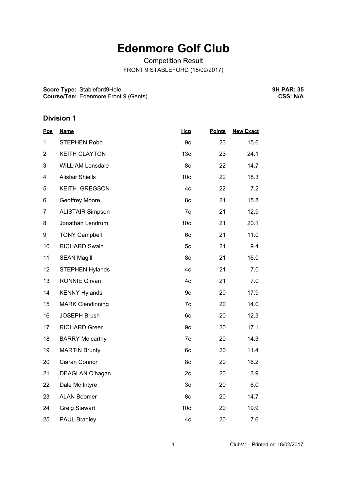# **Edenmore Golf Club**

Competition Result FRONT 9 STABLEFORD (18/02/2017)

**Score Type:** Stableford9Hole **Course/Tee:** Edenmore Front 9 (Gents) **9H PAR: 35 CSS: N/A**

## **Division 1**

| <u>Name</u>             | Hcp             | <b>Points</b> | <b>New Exact</b> |
|-------------------------|-----------------|---------------|------------------|
| <b>STEPHEN Robb</b>     | 9c              | 23            | 15.6             |
| <b>KEITH CLAYTON</b>    | 13 <sub>c</sub> | 23            | 24.1             |
| <b>WILLIAM Lonsdale</b> | 8c              | 22            | 14.7             |
| <b>Alistair Shiells</b> | 10 <sub>c</sub> | 22            | 18.3             |
| KEITH GREGSON           | 4c              | 22            | 7.2              |
| Geoffrey Moore          | 8c              | 21            | 15.8             |
| <b>ALISTAIR Simpson</b> | 7c              | 21            | 12.9             |
| Jonathan Lendrum        | 10 <sub>c</sub> | 21            | 20.1             |
| <b>TONY Campbell</b>    | 6c              | 21            | 11.0             |
| <b>RICHARD Swain</b>    | 5c              | 21            | 9.4              |
| <b>SEAN Magill</b>      | 8c              | 21            | 16.0             |
| <b>STEPHEN Hylands</b>  | 4c              | 21            | 7.0              |
| <b>RONNIE Girvan</b>    | 4c              | 21            | 7.0              |
| <b>KENNY Hylands</b>    | 9c              | 20            | 17.9             |
| <b>MARK Clendinning</b> | 7c              | 20            | 14.0             |
| <b>JOSEPH Brush</b>     | 6c              | 20            | 12.3             |
| <b>RICHARD Greer</b>    | 9c              | 20            | 17.1             |
| <b>BARRY Mc carthy</b>  | 7c              | 20            | 14.3             |
| <b>MARTIN Brunty</b>    | 6c              | 20            | 11.4             |
| Ciaran Connor           | 8c              | 20            | 16.2             |
| DEAGLAN O'hagan         | 2c              | 20            | 3.9              |
| Dale Mc Intyre          | 3 <sub>c</sub>  | 20            | 6.0              |
| <b>ALAN Boomer</b>      | 8c              | 20            | 14.7             |
| <b>Greig Stewart</b>    | 10 <sub>c</sub> | 20            | 19.9             |
| PAUL Bradley            | 4c              | 20            | 7.6              |
|                         |                 |               |                  |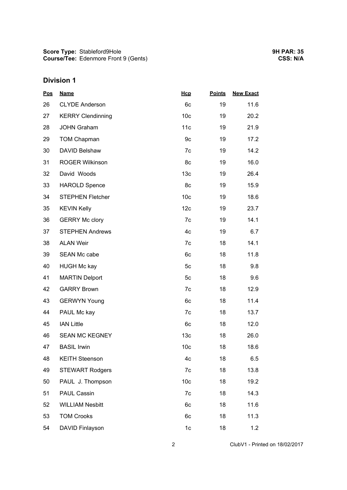## **Division 1**

| <b>Pos</b> | <b>Name</b>              | Hcp             | <b>Points</b> | <b>New Exact</b> |  |
|------------|--------------------------|-----------------|---------------|------------------|--|
| 26         | <b>CLYDE Anderson</b>    | 6c              | 19            | 11.6             |  |
| 27         | <b>KERRY Clendinning</b> | 10 <sub>c</sub> | 19            | 20.2             |  |
| 28         | <b>JOHN Graham</b>       | 11c             | 19            | 21.9             |  |
| 29         | <b>TOM Chapman</b>       | 9c              | 19            | 17.2             |  |
| 30         | DAVID Belshaw            | 7c              | 19            | 14.2             |  |
| 31         | <b>ROGER Wilkinson</b>   | 8c              | 19            | 16.0             |  |
| 32         | David Woods              | 13 <sub>c</sub> | 19            | 26.4             |  |
| 33         | <b>HAROLD Spence</b>     | 8c              | 19            | 15.9             |  |
| 34         | <b>STEPHEN Fletcher</b>  | 10 <sub>c</sub> | 19            | 18.6             |  |
| 35         | <b>KEVIN Kelly</b>       | 12c             | 19            | 23.7             |  |
| 36         | <b>GERRY Mc clory</b>    | 7c              | 19            | 14.1             |  |
| 37         | <b>STEPHEN Andrews</b>   | 4c              | 19            | 6.7              |  |
| 38         | <b>ALAN Weir</b>         | 7c              | 18            | 14.1             |  |
| 39         | <b>SEAN Mc cabe</b>      | 6c              | 18            | 11.8             |  |
| 40         | <b>HUGH Mc kay</b>       | 5c              | 18            | 9.8              |  |
| 41         | <b>MARTIN Delport</b>    | 5 <sub>c</sub>  | 18            | 9.6              |  |
| 42         | <b>GARRY Brown</b>       | 7c              | 18            | 12.9             |  |
| 43         | <b>GERWYN Young</b>      | 6c              | 18            | 11.4             |  |
| 44         | PAUL Mc kay              | 7c              | 18            | 13.7             |  |
| 45         | <b>IAN Little</b>        | 6c              | 18            | 12.0             |  |
| 46         | <b>SEAN MC KEGNEY</b>    | 13 <sub>c</sub> | 18            | 26.0             |  |
| 47         | <b>BASIL Irwin</b>       | 10 <sub>c</sub> | 18            | 18.6             |  |
| 48         | <b>KEITH Steenson</b>    | 4c              | 18            | 6.5              |  |
| 49         | <b>STEWART Rodgers</b>   | 7c              | 18            | 13.8             |  |
| 50         | PAUL J. Thompson         | 10 <sub>c</sub> | 18            | 19.2             |  |
| 51         | <b>PAUL Cassin</b>       | 7c              | 18            | 14.3             |  |
| 52         | <b>WILLIAM Nesbitt</b>   | 6c              | 18            | 11.6             |  |
| 53         | <b>TOM Crooks</b>        | 6c              | 18            | 11.3             |  |
| 54         | DAVID Finlayson          | 1c              | 18            | 1.2              |  |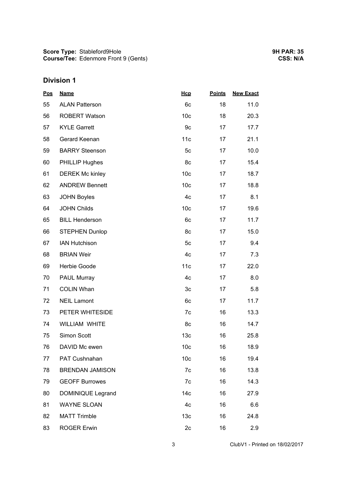## **Division 1**

| <b>Pos</b> | <b>Name</b>              | Hcp             | <b>Points</b> | <b>New Exact</b> |  |
|------------|--------------------------|-----------------|---------------|------------------|--|
| 55         | <b>ALAN Patterson</b>    | 6c              | 18            | 11.0             |  |
| 56         | <b>ROBERT Watson</b>     | 10 <sub>c</sub> | 18            | 20.3             |  |
| 57         | <b>KYLE Garrett</b>      | 9c              | 17            | 17.7             |  |
| 58         | Gerard Keenan            | 11c             | 17            | 21.1             |  |
| 59         | <b>BARRY Steenson</b>    | 5c              | 17            | 10.0             |  |
| 60         | <b>PHILLIP Hughes</b>    | 8c              | 17            | 15.4             |  |
| 61         | <b>DEREK Mc kinley</b>   | 10 <sub>c</sub> | 17            | 18.7             |  |
| 62         | <b>ANDREW Bennett</b>    | 10 <sub>c</sub> | 17            | 18.8             |  |
| 63         | <b>JOHN Boyles</b>       | 4c              | 17            | 8.1              |  |
| 64         | <b>JOHN Childs</b>       | 10 <sub>c</sub> | 17            | 19.6             |  |
| 65         | <b>BILL Henderson</b>    | 6c              | 17            | 11.7             |  |
| 66         | <b>STEPHEN Dunlop</b>    | 8c              | 17            | 15.0             |  |
| 67         | <b>IAN Hutchison</b>     | 5c              | 17            | 9.4              |  |
| 68         | <b>BRIAN Weir</b>        | 4c              | 17            | 7.3              |  |
| 69         | Herbie Goode             | 11c             | 17            | 22.0             |  |
| 70         | <b>PAUL Murray</b>       | 4c              | 17            | 8.0              |  |
| 71         | <b>COLIN Whan</b>        | 3c              | 17            | 5.8              |  |
| 72         | <b>NEIL Lamont</b>       | 6c              | 17            | 11.7             |  |
| 73         | PETER WHITESIDE          | 7c              | 16            | 13.3             |  |
| 74         | <b>WILLIAM WHITE</b>     | 8c              | 16            | 14.7             |  |
| 75         | Simon Scott              | 13 <sub>c</sub> | 16            | 25.8             |  |
| 76         | DAVID Mc ewen            | 10 <sub>c</sub> | 16            | 18.9             |  |
| 77         | PAT Cushnahan            | 10 <sub>c</sub> | 16            | 19.4             |  |
| 78         | <b>BRENDAN JAMISON</b>   | 7c              | 16            | 13.8             |  |
| 79         | <b>GEOFF Burrowes</b>    | 7c              | 16            | 14.3             |  |
| 80         | <b>DOMINIQUE Legrand</b> | 14 <sub>c</sub> | 16            | 27.9             |  |
| 81         | <b>WAYNE SLOAN</b>       | 4c              | 16            | 6.6              |  |
| 82         | <b>MATT Trimble</b>      | 13 <sub>c</sub> | 16            | 24.8             |  |
| 83         | <b>ROGER Erwin</b>       | 2c              | 16            | 2.9              |  |